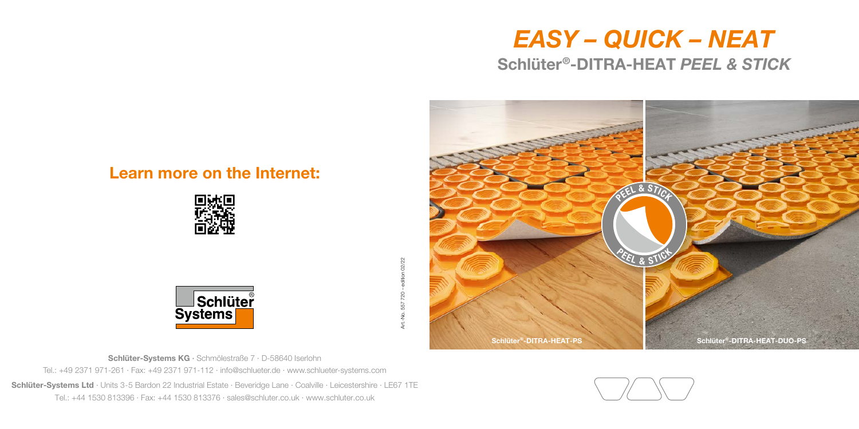# *EASY – QUICK – NEAT* Schlüter®-DITRA-HEAT *PEEL & STICK*



#### Learn more on the Internet:



edition 02/22 Art.-No. 557 720 – edition 02/22 720 557 ġ Art.-I



Schlüter-Systems KG · Schmölestraße 7 · D-58640 Iserlohn Tel.: +49 2371 971-261 · Fax: +49 2371 971-112 · info@schlueter.de · www.schlueter-systems.com Schlüter-Systems Ltd · Units 3-5 Bardon 22 Industrial Estate · Beveridge Lane · Coalville · Leicestershire · LE67 1TE

Tel.: +44 1530 813396 · Fax: +44 1530 813376 · sales@schluter.co.uk · www.schluter.co.uk